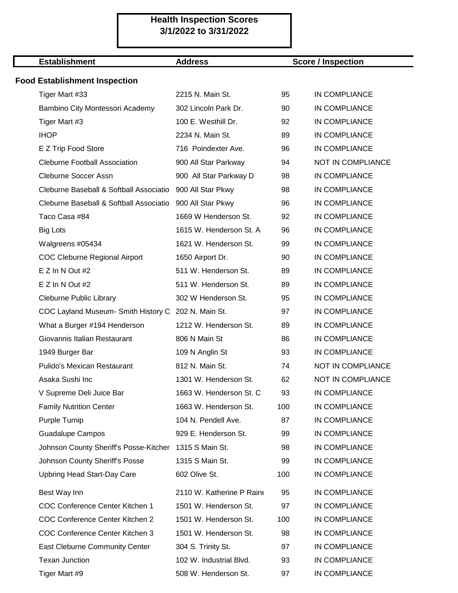# **Health Inspection Scores 3/1/2022 to 3/31/2022**

## **Establishment Address**

### **Score / Inspection**

## **Food Establishment Inspection**

| Tiger Mart #33                                         | 2215 N. Main St.          | 95  | IN COMPLIANCE            |
|--------------------------------------------------------|---------------------------|-----|--------------------------|
| Bambino City Montessori Academy                        | 302 Lincoln Park Dr.      | 90  | IN COMPLIANCE            |
| Tiger Mart #3                                          | 100 E. Westhill Dr.       | 92  | IN COMPLIANCE            |
| <b>IHOP</b>                                            | 2234 N. Main St.          | 89  | IN COMPLIANCE            |
| E Z Trip Food Store                                    | 716 Poindexter Ave.       | 96  | IN COMPLIANCE            |
| <b>Cleburne Football Association</b>                   | 900 All Star Parkway      | 94  | NOT IN COMPLIANCE        |
| Cleburne Soccer Assn                                   | 900 All Star Parkway D    | 98  | IN COMPLIANCE            |
| Cleburne Baseball & Softball Associatio                | 900 All Star Pkwy         | 98  | IN COMPLIANCE            |
| Cleburne Baseball & Softball Associatio                | 900 All Star Pkwy         | 96  | IN COMPLIANCE            |
| Taco Casa #84                                          | 1669 W Henderson St.      | 92  | IN COMPLIANCE            |
| <b>Big Lots</b>                                        | 1615 W. Henderson St. A   | 96  | IN COMPLIANCE            |
| Walgreens #05434                                       | 1621 W. Henderson St.     | 99  | IN COMPLIANCE            |
| <b>COC Cleburne Regional Airport</b>                   | 1650 Airport Dr.          | 90  | IN COMPLIANCE            |
| E Z In N Out #2                                        | 511 W. Henderson St.      | 89  | IN COMPLIANCE            |
| $E Z$ In N Out #2                                      | 511 W. Henderson St.      | 89  | IN COMPLIANCE            |
| Cleburne Public Library                                | 302 W Henderson St.       | 95  | IN COMPLIANCE            |
| COC Layland Museum- Smith History C 202 N. Main St.    |                           | 97  | IN COMPLIANCE            |
| What a Burger #194 Henderson                           | 1212 W. Henderson St.     | 89  | IN COMPLIANCE            |
| Giovannis Italian Restaurant                           | 806 N Main St             | 86  | IN COMPLIANCE            |
| 1949 Burger Bar                                        | 109 N Anglin St           | 93  | IN COMPLIANCE            |
| <b>Pulido's Mexican Restaurant</b>                     | 812 N. Main St.           | 74  | NOT IN COMPLIANCE        |
| Asaka Sushi Inc                                        | 1301 W. Henderson St.     | 62  | <b>NOT IN COMPLIANCE</b> |
| V Supreme Deli Juice Bar                               | 1663 W. Henderson St. C   | 93  | IN COMPLIANCE            |
| <b>Family Nutrition Center</b>                         | 1663 W. Henderson St.     | 100 | IN COMPLIANCE            |
| <b>Purple Turnip</b>                                   | 104 N. Pendell Ave.       | 87  | IN COMPLIANCE            |
| <b>Guadalupe Campos</b>                                | 929 E. Henderson St.      | 99  | IN COMPLIANCE            |
| Johnson County Sheriff's Posse-Kitcher 1315 S Main St. |                           | 98  | IN COMPLIANCE            |
| Johnson County Sheriff's Posse                         | 1315 S Main St.           | 99  | IN COMPLIANCE            |
| Upbring Head Start-Day Care                            | 602 Olive St.             | 100 | IN COMPLIANCE            |
| Best Way Inn                                           | 2110 W. Katherine P Raine | 95  | IN COMPLIANCE            |
| COC Conference Center Kitchen 1                        | 1501 W. Henderson St.     | 97  | IN COMPLIANCE            |
| COC Conference Center Kitchen 2                        | 1501 W. Henderson St.     | 100 | IN COMPLIANCE            |
| COC Conference Center Kitchen 3                        | 1501 W. Henderson St.     | 98  | IN COMPLIANCE            |
| East Cleburne Community Center                         | 304 S. Trinity St.        | 97  | IN COMPLIANCE            |
| <b>Texan Junction</b>                                  | 102 W. Industrial Blvd.   | 93  | IN COMPLIANCE            |
| Tiger Mart #9                                          | 508 W. Henderson St.      | 97  | IN COMPLIANCE            |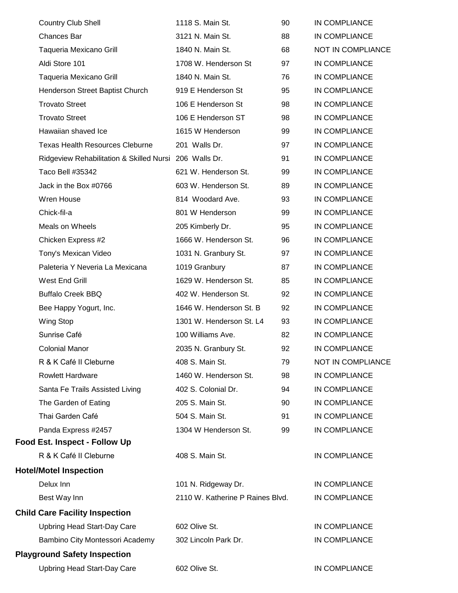| <b>Country Club Shell</b>                              | 1118 S. Main St.                 | 90 | IN COMPLIANCE            |
|--------------------------------------------------------|----------------------------------|----|--------------------------|
| Chances Bar                                            | 3121 N. Main St.                 | 88 | IN COMPLIANCE            |
| Taqueria Mexicano Grill                                | 1840 N. Main St.                 | 68 | NOT IN COMPLIANCE        |
| Aldi Store 101                                         | 1708 W. Henderson St             | 97 | IN COMPLIANCE            |
| Taqueria Mexicano Grill                                | 1840 N. Main St.                 | 76 | IN COMPLIANCE            |
| Henderson Street Baptist Church                        | 919 E Henderson St               | 95 | IN COMPLIANCE            |
| <b>Trovato Street</b>                                  | 106 E Henderson St               | 98 | IN COMPLIANCE            |
| <b>Trovato Street</b>                                  | 106 E Henderson ST               | 98 | IN COMPLIANCE            |
| Hawaiian shaved Ice                                    | 1615 W Henderson                 | 99 | IN COMPLIANCE            |
| <b>Texas Health Resources Cleburne</b>                 | 201 Walls Dr.                    | 97 | IN COMPLIANCE            |
| Ridgeview Rehabilitation & Skilled Nursi 206 Walls Dr. |                                  | 91 | IN COMPLIANCE            |
| Taco Bell #35342                                       | 621 W. Henderson St.             | 99 | IN COMPLIANCE            |
| Jack in the Box #0766                                  | 603 W. Henderson St.             | 89 | IN COMPLIANCE            |
| Wren House                                             | 814 Woodard Ave.                 | 93 | IN COMPLIANCE            |
| Chick-fil-a                                            | 801 W Henderson                  | 99 | IN COMPLIANCE            |
| Meals on Wheels                                        | 205 Kimberly Dr.                 | 95 | IN COMPLIANCE            |
| Chicken Express #2                                     | 1666 W. Henderson St.            | 96 | IN COMPLIANCE            |
| Tony's Mexican Video                                   | 1031 N. Granbury St.             | 97 | IN COMPLIANCE            |
| Paleteria Y Neveria La Mexicana                        | 1019 Granbury                    | 87 | IN COMPLIANCE            |
| West End Grill                                         | 1629 W. Henderson St.            | 85 | IN COMPLIANCE            |
| <b>Buffalo Creek BBQ</b>                               | 402 W. Henderson St.             | 92 | IN COMPLIANCE            |
| Bee Happy Yogurt, Inc.                                 | 1646 W. Henderson St. B          | 92 | IN COMPLIANCE            |
| Wing Stop                                              | 1301 W. Henderson St. L4         | 93 | IN COMPLIANCE            |
| Sunrise Café                                           | 100 Williams Ave.                | 82 | IN COMPLIANCE            |
| <b>Colonial Manor</b>                                  | 2035 N. Granbury St.             | 92 | <b>IN COMPLIANCE</b>     |
| R & K Café II Cleburne                                 | 408 S. Main St.                  | 79 | <b>NOT IN COMPLIANCE</b> |
| <b>Rowlett Hardware</b>                                | 1460 W. Henderson St.            | 98 | IN COMPLIANCE            |
| Santa Fe Trails Assisted Living                        | 402 S. Colonial Dr.              | 94 | IN COMPLIANCE            |
| The Garden of Eating                                   | 205 S. Main St.                  | 90 | IN COMPLIANCE            |
| Thai Garden Café                                       | 504 S. Main St.                  | 91 | IN COMPLIANCE            |
| Panda Express #2457                                    | 1304 W Henderson St.             | 99 | IN COMPLIANCE            |
| Food Est. Inspect - Follow Up                          |                                  |    |                          |
| R & K Café II Cleburne                                 | 408 S. Main St.                  |    | IN COMPLIANCE            |
| <b>Hotel/Motel Inspection</b>                          |                                  |    |                          |
| Delux Inn                                              | 101 N. Ridgeway Dr.              |    | IN COMPLIANCE            |
| Best Way Inn                                           | 2110 W. Katherine P Raines Blvd. |    | IN COMPLIANCE            |
| <b>Child Care Facility Inspection</b>                  |                                  |    |                          |
| <b>Upbring Head Start-Day Care</b>                     | 602 Olive St.                    |    | IN COMPLIANCE            |
| Bambino City Montessori Academy                        | 302 Lincoln Park Dr.             |    | IN COMPLIANCE            |
| <b>Playground Safety Inspection</b>                    |                                  |    |                          |
| <b>Upbring Head Start-Day Care</b>                     | 602 Olive St.                    |    | IN COMPLIANCE            |